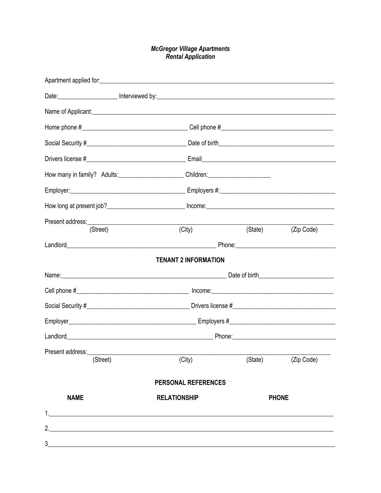## McGregor Village Apartments<br>Rental Application

|                                                             | How many in family? Adults:________________________Children:____________________                               |         |            |
|-------------------------------------------------------------|----------------------------------------------------------------------------------------------------------------|---------|------------|
|                                                             | Employer: 2008. [2013] Employers #: 2014 2014 2014 2014 2015 2016 2017 2018 2019 2014 2014 2016 2017 2018 2019 |         |            |
|                                                             |                                                                                                                |         |            |
| (Street)                                                    | (City)                                                                                                         | (State) | (Zip Code) |
|                                                             |                                                                                                                |         |            |
|                                                             | <b>TENANT 2 INFORMATION</b>                                                                                    |         |            |
|                                                             |                                                                                                                |         |            |
|                                                             |                                                                                                                |         |            |
|                                                             |                                                                                                                |         |            |
|                                                             |                                                                                                                |         |            |
|                                                             |                                                                                                                |         |            |
| Present address: (Street) (City) (State) (State) (Zip Code) |                                                                                                                |         |            |
|                                                             | <b>PERSONAL REFERENCES</b>                                                                                     |         |            |
|                                                             |                                                                                                                |         |            |